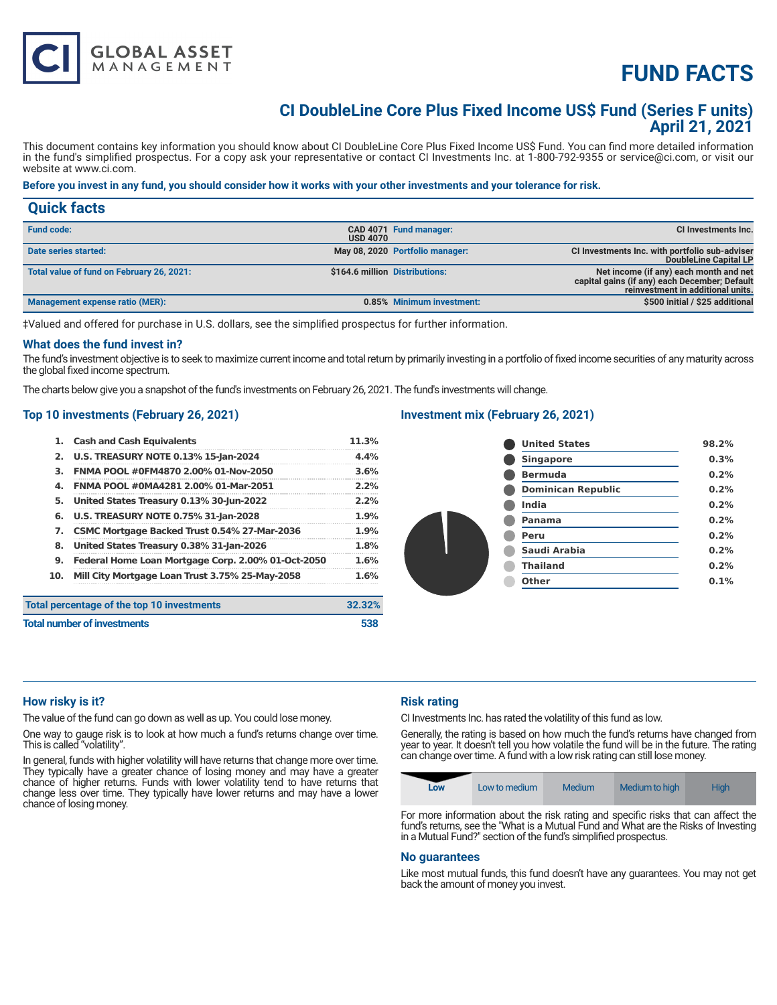

# **FUND FACTS**

### **CI DoubleLine Core Plus Fixed Income US\$ Fund (Series F units) April 21, 2021**

This document contains key information you should know about CI DoubleLine Core Plus Fixed Income US\$ Fund. You can find more detailed information in the fund's simplified prospectus. For a copy ask your representative or contact CI Investments Inc. at 1-800-792-9355 or service@ci.com, or visit our website at www.ci.com.

#### **Before you invest in any fund, you should consider how it works with your other investments and your tolerance for risk.**

| <b>Quick facts</b>                        |                                |                                 |                                                                                                                              |
|-------------------------------------------|--------------------------------|---------------------------------|------------------------------------------------------------------------------------------------------------------------------|
| <b>Fund code:</b>                         | <b>USD 4070</b>                | CAD 4071 Fund manager:          | CI Investments Inc.                                                                                                          |
| Date series started:                      |                                | May 08, 2020 Portfolio manager: | CI Investments Inc. with portfolio sub-adviser<br>DoubleLine Capital LP                                                      |
| Total value of fund on February 26, 2021: | \$164.6 million Distributions: |                                 | Net income (if any) each month and net<br>capital gains (if any) each December; Default<br>reinvestment in additional units. |
| Management expense ratio (MER):           |                                | 0.85% Minimum investment:       | \$500 initial / \$25 additional                                                                                              |

‡Valued and offered for purchase in U.S. dollars, see the simplified prospectus for further information.

#### **What does the fund invest in?**

The fund's investment objective is to seek to maximize current income and total return by primarily investing in a portfolio of fixed income securities of any maturity across the global fixed income spectrum.

The charts below give you a snapshot of the fund's investments on February 26, 2021. The fund's investments will change.

#### **Top 10 investments (February 26, 2021)**

| 1.  | <b>Cash and Cash Equivalents</b>                   | 11.3%  |
|-----|----------------------------------------------------|--------|
| 2.  | <b>U.S. TREASURY NOTE 0.13% 15-Jan-2024</b>        | 4.4%   |
| з.  | FNMA POOL #0FM4870 2.00% 01-Nov-2050               | 3.6%   |
| 4.  | FNMA POOL #0MA4281 2.00% 01-Mar-2051               | 2.2%   |
| 5.  | United States Treasury 0.13% 30-Jun-2022           | 2.2%   |
| 6.  | <b>U.S. TREASURY NOTE 0.75% 31-Jan-2028</b>        | 1.9%   |
| 7.  | CSMC Mortgage Backed Trust 0.54% 27-Mar-2036       | 1.9%   |
| 8.  | United States Treasury 0.38% 31-Jan-2026           | 1.8%   |
| 9.  | Federal Home Loan Mortgage Corp. 2.00% 01-Oct-2050 | 1.6%   |
| 10. | Mill City Mortgage Loan Trust 3.75% 25-May-2058    | 1.6%   |
|     | Total percentage of the top 10 investments         | 32.32% |
|     | <b>Total number of investments</b>                 | 538    |

#### **Investment mix (February 26, 2021)**

| <b>United States</b>      | 98.2% |
|---------------------------|-------|
| <b>Singapore</b>          | 0.3%  |
| <b>Bermuda</b>            | 0.2%  |
| <b>Dominican Republic</b> | 0.2%  |
| India                     | 0.2%  |
| Panama                    | 0.2%  |
| Peru                      | 0.2%  |
| Saudi Arabia              | 0.2%  |
| <b>Thailand</b>           | 0.2%  |
| Other                     | 0.1%  |
|                           |       |

#### **How risky is it?**

The value of the fund can go down as well as up. You could lose money.

One way to gauge risk is to look at how much a fund's returns change over time. This is called "volatility".

In general, funds with higher volatility will have returns that change more over time. They typically have a greater chance of losing money and may have a greater chance of higher returns. Funds with lower volatility tend to have returns that change less over time. They typically have lower returns and may have a lower chance of losing money.

#### **Risk rating**

CI Investments Inc. has rated the volatility of this fund as low.

Generally, the rating is based on how much the fund's returns have changed from year to year. It doesn't tell you how volatile the fund will be in the future. The rating can change over time. A fund with a low risk rating can still lose money.



For more information about the risk rating and specific risks that can affect the fund's returns, see the "What is a Mutual Fund and What are the Risks of Investing in a Mutual Fund?" section of the fund's simplified prospectus.

#### **No guarantees**

Like most mutual funds, this fund doesn't have any guarantees. You may not get back the amount of money you invest.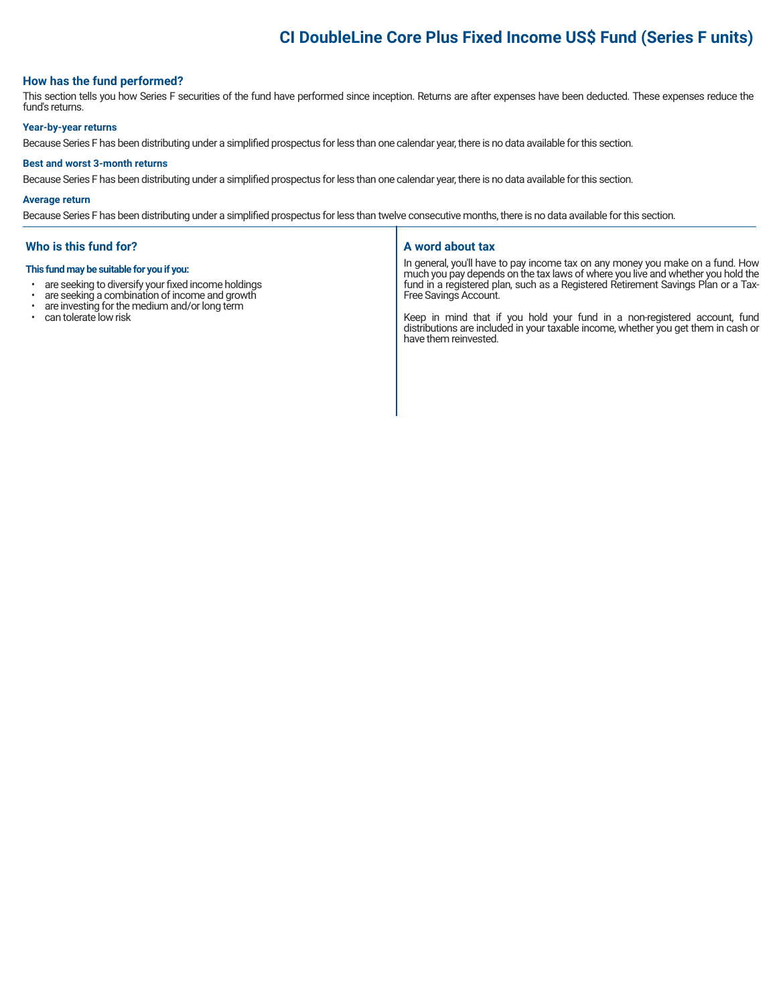## **CI DoubleLine Core Plus Fixed Income US\$ Fund (Series F units)**

#### **How has the fund performed?**

This section tells you how Series F securities of the fund have performed since inception. Returns are after expenses have been deducted. These expenses reduce the fund's returns.

#### **Year-by-year returns**

Because Series F has been distributing under a simplified prospectus for less than one calendar year, there is no data available for this section.

#### **Best and worst 3-month returns**

Because Series F has been distributing under a simplified prospectus for less than one calendar year, there is no data available for this section.

#### **Average return**

Because Series F has been distributing under a simplified prospectus for less than twelve consecutive months, there is no data available for this section.

#### **Who is this fund for?**

#### **This fund may be suitable for you if you:**

- are seeking to diversify your fixed income holdings<br>• are seeking a combination of income and growth
- are seeking a combination of income and growth<br>• are investing for the medium and/or long term
- are investing for the medium and/or long term
- can tolerate low risk

#### **A word about tax**

In general, you'll have to pay income tax on any money you make on a fund. How much you pay depends on the tax laws of where you live and whether you hold the fund in a registered plan, such as a Registered Retirement Savings Plan or a Tax-Free Savings Account.

Keep in mind that if you hold your fund in a non-registered account, fund distributions are included in your taxable income, whether you get them in cash or have them reinvested.